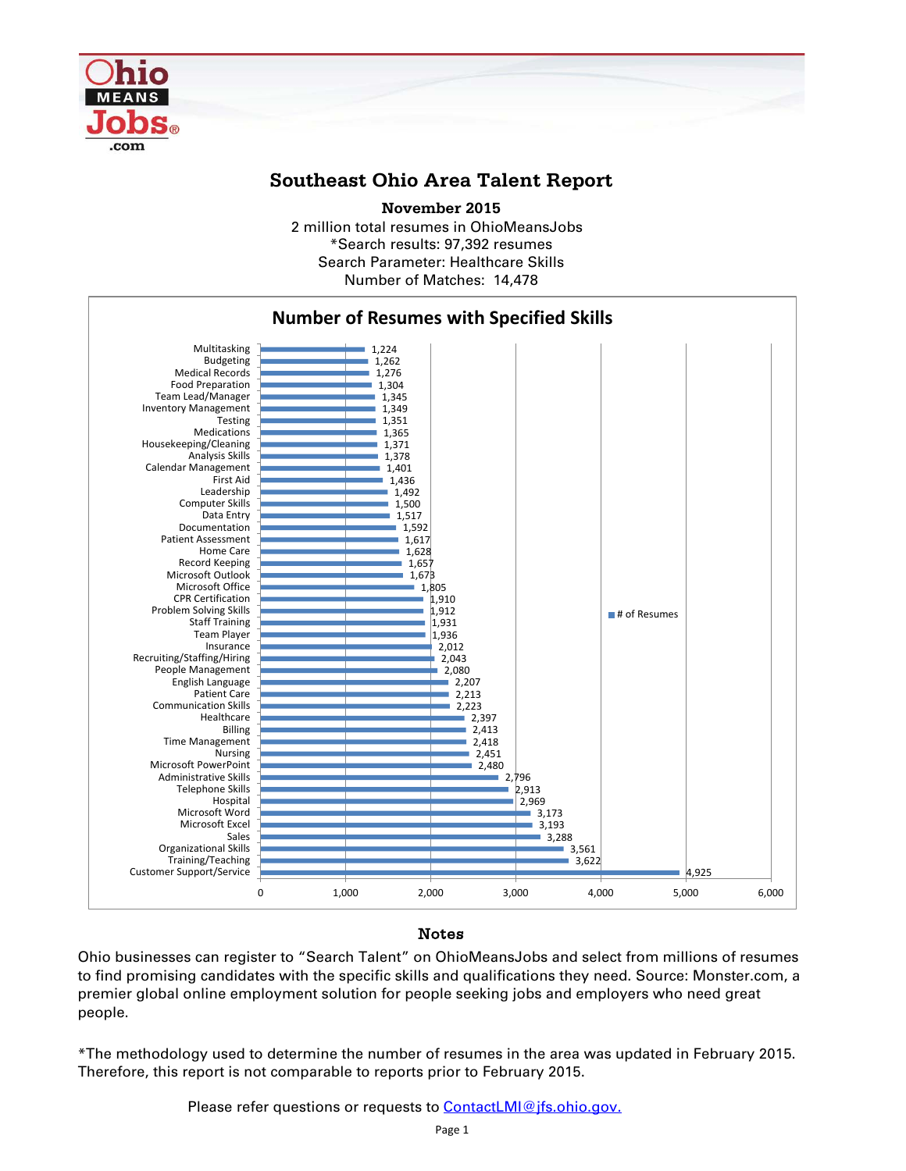

## **Southeast Ohio Area Talent Report**

2 million total resumes in OhioMeansJobs \*Search results: 97,392 resumes Number of Matches: 14,478 **November 2015** Search Parameter: Healthcare Skills



## Notes

Ohio businesses can register to "Search Talent" on OhioMeansJobs and select from millions of resumes to find promising candidates with the specific skills and qualifications they need. Source: Monster.com, a premier global online employment solution for people seeking jobs and employers who need great people.

\*The methodology used to determine the number of resumes in the area was updated in February 2015. Therefore, this report is not comparable to reports prior to February 2015.

Please refer questions or requests to **ContactLMI@jfs.ohio.gov.**